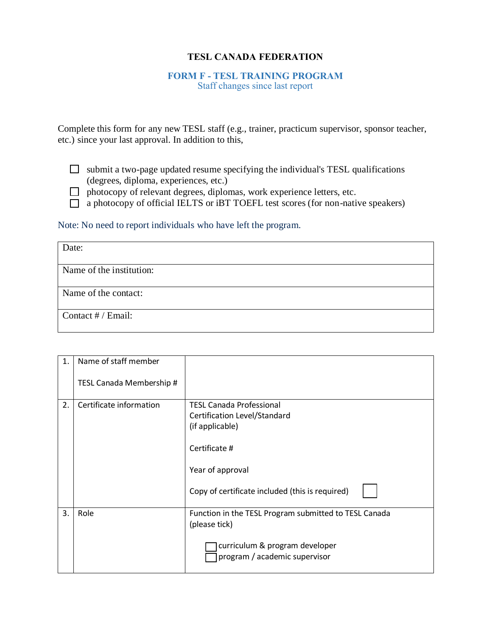## **TESL CANADA FEDERATION**

## **FORM F - TESL TRAINING PROGRAM**

Staff changes since last report

Complete this form for any new TESL staff (e.g., trainer, practicum supervisor, sponsor teacher, etc.) since your last approval. In addition to this,

 $\Box$  submit a two-page updated resume specifying the individual's TESL qualifications (degrees, diploma, experiences, etc.)

- $\Box$  photocopy of relevant degrees, diplomas, work experience letters, etc.
- $\Box$  a photocopy of official IELTS or iBT TOEFL test scores (for non-native speakers)

Note: No need to report individuals who have left the program.

| Date:                    |  |
|--------------------------|--|
|                          |  |
| Name of the institution: |  |
|                          |  |
| Name of the contact:     |  |
|                          |  |
| Contact # / Email:       |  |
|                          |  |

| $\mathbf{1}$ . | Name of staff member     |                                                                                                                                                                            |
|----------------|--------------------------|----------------------------------------------------------------------------------------------------------------------------------------------------------------------------|
|                | TESL Canada Membership # |                                                                                                                                                                            |
| 2.             | Certificate information  | <b>TESL Canada Professional</b><br>Certification Level/Standard<br>(if applicable)<br>Certificate #<br>Year of approval<br>Copy of certificate included (this is required) |
| 3.             | Role                     | Function in the TESL Program submitted to TESL Canada<br>(please tick)<br>curriculum & program developer<br>program / academic supervisor                                  |